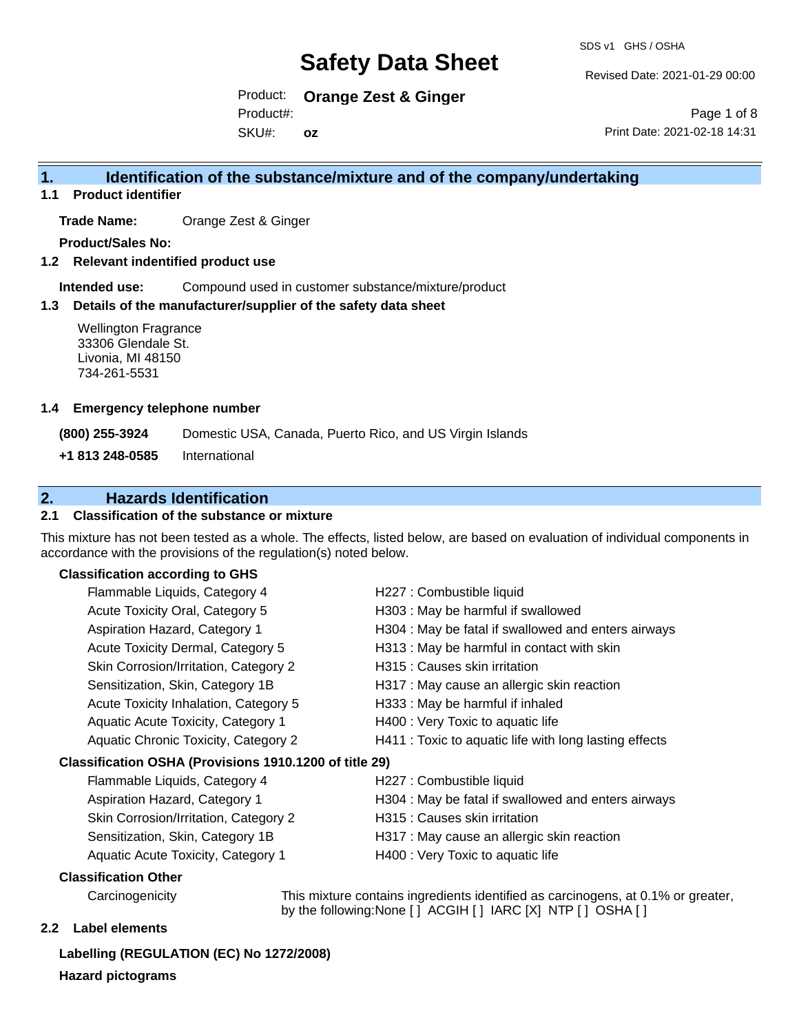SDS v1 GHS / OSHA

Revised Date: 2021-01-29 00:00

Product: **Orange Zest & Ginger**  Product#:

SKU#: **oz**

Page 1 of 8 Print Date: 2021-02-18 14:31

### **1. Identification of the substance/mixture and of the company/undertaking**

**1.1 Product identifier**

**Trade Name:** Orange Zest & Ginger

**Product/Sales No:**

**1.2 Relevant indentified product use**

**Intended use:** Compound used in customer substance/mixture/product

#### **1.3 Details of the manufacturer/supplier of the safety data sheet**

Wellington Fragrance 33306 Glendale St. Livonia, MI 48150 734-261-5531

#### **1.4 Emergency telephone number**

**(800) 255-3924** Domestic USA, Canada, Puerto Rico, and US Virgin Islands

**+1 813 248-0585** International

### **2. Hazards Identification**

#### **2.1 Classification of the substance or mixture**

This mixture has not been tested as a whole. The effects, listed below, are based on evaluation of individual components in accordance with the provisions of the regulation(s) noted below.

#### **Classification according to GHS**

|                                                        | Flammable Liquids, Category 4         | H227 : Combustible liquid                              |  |
|--------------------------------------------------------|---------------------------------------|--------------------------------------------------------|--|
|                                                        | Acute Toxicity Oral, Category 5       | H303 : May be harmful if swallowed                     |  |
|                                                        | Aspiration Hazard, Category 1         | H304 : May be fatal if swallowed and enters airways    |  |
|                                                        | Acute Toxicity Dermal, Category 5     | H313 : May be harmful in contact with skin             |  |
|                                                        | Skin Corrosion/Irritation, Category 2 | H315 : Causes skin irritation                          |  |
|                                                        | Sensitization, Skin, Category 1B      | H317 : May cause an allergic skin reaction             |  |
|                                                        | Acute Toxicity Inhalation, Category 5 | H333: May be harmful if inhaled                        |  |
|                                                        | Aquatic Acute Toxicity, Category 1    | H400 : Very Toxic to aquatic life                      |  |
|                                                        | Aquatic Chronic Toxicity, Category 2  | H411 : Toxic to aquatic life with long lasting effects |  |
| Classification OSHA (Provisions 1910.1200 of title 29) |                                       |                                                        |  |
|                                                        | Flammable Liquids, Category 4         | H227 : Combustible liquid                              |  |
|                                                        | Aspiration Hazard, Category 1         | H304 : May be fatal if swallowed and enters airways    |  |
|                                                        | Skin Corrosion/Irritation, Category 2 | H315 : Causes skin irritation                          |  |
|                                                        | Sensitization, Skin, Category 1B      | H317 : May cause an allergic skin reaction             |  |

Aquatic Acute Toxicity, Category 1 **H400** : Very Toxic to aquatic life

#### **Classification Other**

Carcinogenicity This mixture contains ingredients identified as carcinogens, at 0.1% or greater, by the following:None [ ] ACGIH [ ] IARC [X] NTP [ ] OSHA [ ]

#### **2.2 Label elements**

**Labelling (REGULATION (EC) No 1272/2008) Hazard pictograms**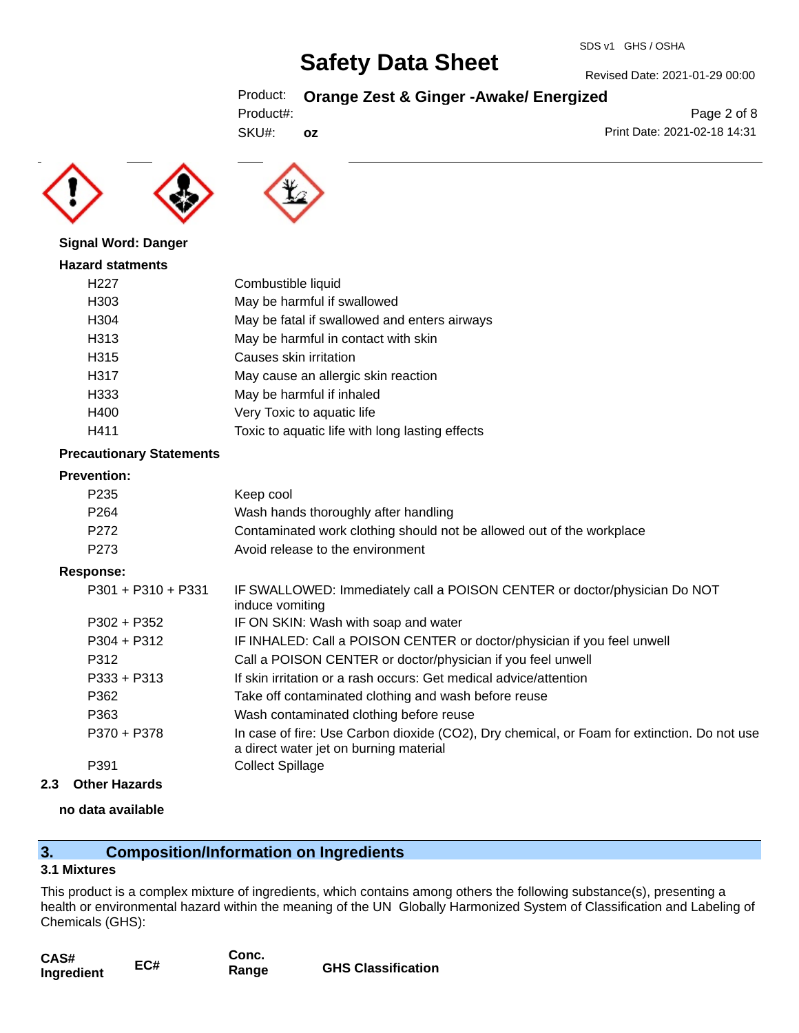Revised Date: 2021-01-29 00:00

Print Date: 2021-02-18 14:31

Page 2 of 8

### Product: **Orange Zest & Ginger -Awake/ Energized**

| Product#: |  |
|-----------|--|
|           |  |

SKU#: **oz**





#### **Signal Word: Danger**

| H <sub>227</sub> | Combustible liquid                              |
|------------------|-------------------------------------------------|
| H303             | May be harmful if swallowed                     |
| H304             | May be fatal if swallowed and enters airways    |
| H313             | May be harmful in contact with skin             |
| H315             | Causes skin irritation                          |
| H317             | May cause an allergic skin reaction             |
| H333             | May be harmful if inhaled                       |
| H400             | Very Toxic to aquatic life                      |
| H411             | Toxic to aquatic life with long lasting effects |

#### **Precautionary Statements**

#### **Prevention:**

| P235 | Keep cool                                                             |
|------|-----------------------------------------------------------------------|
| P264 | Wash hands thoroughly after handling                                  |
| P272 | Contaminated work clothing should not be allowed out of the workplace |
| P273 | Avoid release to the environment                                      |

#### **Response:**

| P301 + P310 + P331 | IF SWALLOWED: Immediately call a POISON CENTER or doctor/physician Do NOT<br>induce vomiting                                          |
|--------------------|---------------------------------------------------------------------------------------------------------------------------------------|
| P302 + P352        | IF ON SKIN: Wash with soap and water                                                                                                  |
| $P304 + P312$      | IF INHALED: Call a POISON CENTER or doctor/physician if you feel unwell                                                               |
| P312               | Call a POISON CENTER or doctor/physician if you feel unwell                                                                           |
| $P333 + P313$      | If skin irritation or a rash occurs: Get medical advice/attention                                                                     |
| P362               | Take off contaminated clothing and wash before reuse                                                                                  |
| P363               | Wash contaminated clothing before reuse                                                                                               |
| P370 + P378        | In case of fire: Use Carbon dioxide (CO2), Dry chemical, or Foam for extinction. Do not use<br>a direct water jet on burning material |
| P391               | <b>Collect Spillage</b>                                                                                                               |
|                    |                                                                                                                                       |

**2.3 Other Hazards**

#### **no data available**

### **3. Composition/Information on Ingredients**

#### **3.1 Mixtures**

This product is a complex mixture of ingredients, which contains among others the following substance(s), presenting a health or environmental hazard within the meaning of the UN Globally Harmonized System of Classification and Labeling of Chemicals (GHS):

| CAS#       |     | Conc. |                           |
|------------|-----|-------|---------------------------|
| Ingredient | EC# | Range | <b>GHS Classification</b> |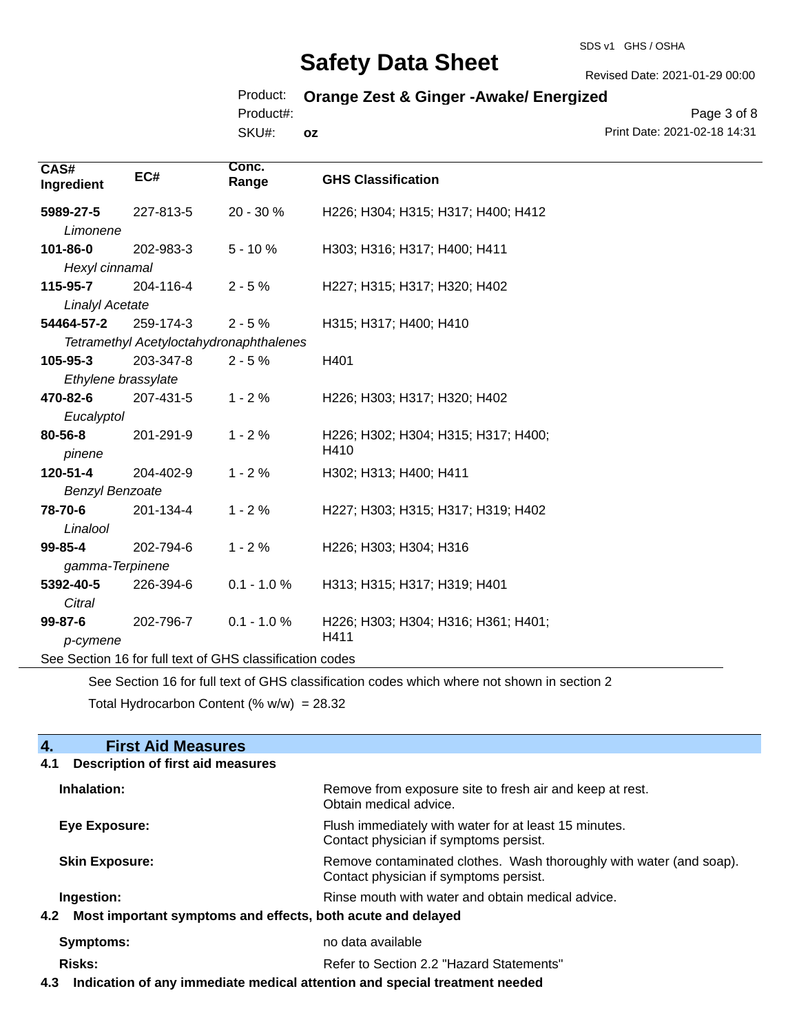#### SDS v1 GHS / OSHA

## **Safety Data Sheet**

Revised Date: 2021-01-29 00:00

### Product: **Orange Zest & Ginger -Awake/ Energized**

Product#:

SKU#: **oz**

Page 3 of 8 Print Date: 2021-02-18 14:31

| CAS#<br>Ingredient     | EC#                                                      | Conc.<br>Range | <b>GHS Classification</b>           |
|------------------------|----------------------------------------------------------|----------------|-------------------------------------|
| 5989-27-5              | 227-813-5                                                | 20 - 30 %      | H226; H304; H315; H317; H400; H412  |
| Limonene               |                                                          |                |                                     |
| 101-86-0               | 202-983-3                                                | $5 - 10%$      | H303; H316; H317; H400; H411        |
| Hexyl cinnamal         |                                                          |                |                                     |
| 115-95-7               | 204-116-4                                                | $2 - 5%$       | H227; H315; H317; H320; H402        |
| <b>Linalyl Acetate</b> |                                                          |                |                                     |
| 54464-57-2             | 259-174-3                                                | $2 - 5%$       | H315; H317; H400; H410              |
|                        | Tetramethyl Acetyloctahydronaphthalenes                  |                |                                     |
| 105-95-3               | 203-347-8                                                | $2 - 5%$       | H401                                |
|                        | Ethylene brassylate                                      |                |                                     |
| 470-82-6               | 207-431-5                                                | $1 - 2%$       | H226; H303; H317; H320; H402        |
| Eucalyptol             |                                                          |                |                                     |
| 80-56-8                | 201-291-9                                                | $1 - 2%$       | H226; H302; H304; H315; H317; H400; |
| pinene                 |                                                          |                | H410                                |
| 120-51-4               | 204-402-9                                                | $1 - 2%$       | H302; H313; H400; H411              |
| <b>Benzyl Benzoate</b> |                                                          |                |                                     |
| 78-70-6                | 201-134-4                                                | $1 - 2%$       | H227; H303; H315; H317; H319; H402  |
| Linalool               |                                                          |                |                                     |
| 99-85-4                | 202-794-6                                                | $1 - 2%$       | H226; H303; H304; H316              |
| gamma-Terpinene        |                                                          |                |                                     |
| 5392-40-5              | 226-394-6                                                | $0.1 - 1.0 %$  | H313; H315; H317; H319; H401        |
| Citral                 |                                                          |                |                                     |
| 99-87-6                | 202-796-7                                                | $0.1 - 1.0 %$  | H226; H303; H304; H316; H361; H401; |
| p-cymene               |                                                          |                | H411                                |
|                        | See Section 16 for full text of GHS classification codes |                |                                     |

See Section 16 for full text of GHS classification codes which where not shown in section 2

Total Hydrocarbon Content (%  $w/w$ ) = 28.32

# **4. First Aid Measures**

## **4.1 Description of first aid measures**

| Remove from exposure site to fresh air and keep at rest.<br>Obtain medical advice.                            |  |  |
|---------------------------------------------------------------------------------------------------------------|--|--|
| Flush immediately with water for at least 15 minutes.<br>Contact physician if symptoms persist.               |  |  |
| Remove contaminated clothes. Wash thoroughly with water (and soap).<br>Contact physician if symptoms persist. |  |  |
| Rinse mouth with water and obtain medical advice.                                                             |  |  |
| 4.2 Most important symptoms and effects, both acute and delayed                                               |  |  |
| no data available                                                                                             |  |  |
| Refer to Section 2.2 "Hazard Statements"                                                                      |  |  |
|                                                                                                               |  |  |

**4.3 Indication of any immediate medical attention and special treatment needed**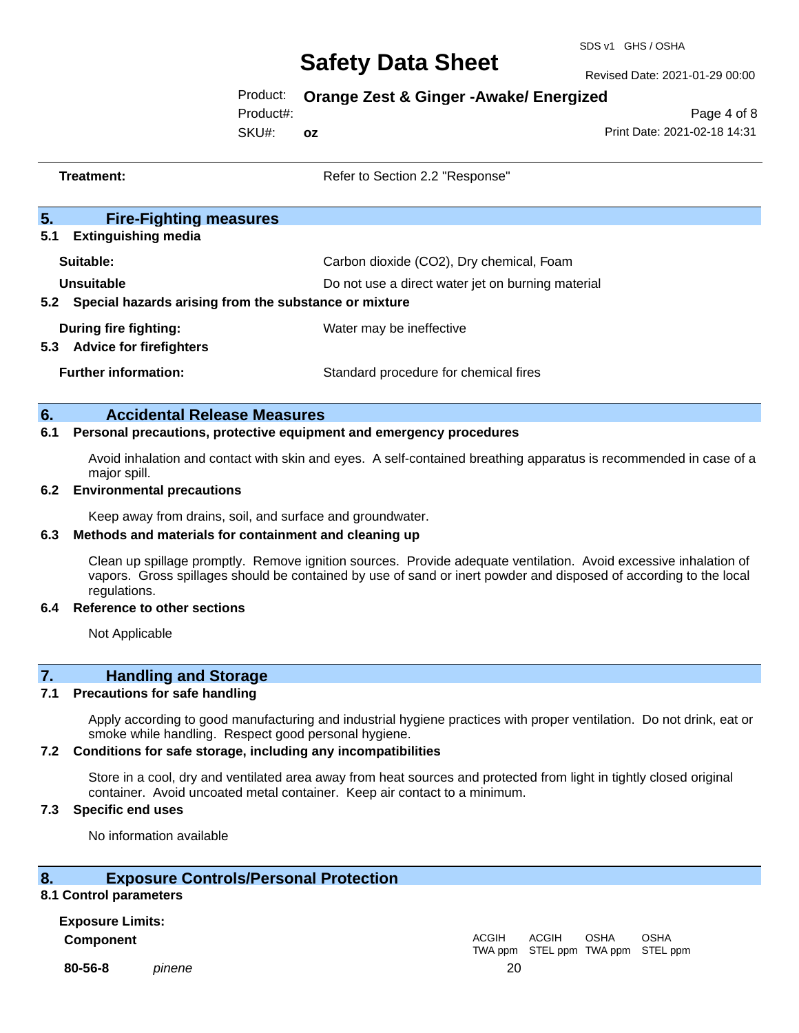Revised Date: 2021-01-29 00:00

Product: **Orange Zest & Ginger -Awake/ Energized**

Product#:

SKU#: **oz**

Page 4 of 8 Print Date: 2021-02-18 14:31

| Treatment:                                                                                                                        | Refer to Section 2.2 "Response"                   |  |
|-----------------------------------------------------------------------------------------------------------------------------------|---------------------------------------------------|--|
| 5.<br><b>Fire-Fighting measures</b>                                                                                               |                                                   |  |
| <b>Extinguishing media</b><br>5.1                                                                                                 |                                                   |  |
| Suitable:                                                                                                                         | Carbon dioxide (CO2), Dry chemical, Foam          |  |
| Unsuitable                                                                                                                        | Do not use a direct water jet on burning material |  |
| 5.2 Special hazards arising from the substance or mixture                                                                         |                                                   |  |
| During fire fighting:                                                                                                             | Water may be ineffective                          |  |
| 5.3 Advice for firefighters                                                                                                       |                                                   |  |
| <b>Further information:</b>                                                                                                       | Standard procedure for chemical fires             |  |
|                                                                                                                                   |                                                   |  |
| 6.                                                                                                                                | <b>Accidental Release Measures</b>                |  |
| 6.1<br>Personal precautions, protective equipment and emergency procedures                                                        |                                                   |  |
| Avoid inhalation and contact with skin and eyes. A self-contained breathing apparatus is recommended in case of a<br>major spill. |                                                   |  |
| 6.2<br><b>Environmental precautions</b>                                                                                           |                                                   |  |

Keep away from drains, soil, and surface and groundwater.

#### **6.3 Methods and materials for containment and cleaning up**

Clean up spillage promptly. Remove ignition sources. Provide adequate ventilation. Avoid excessive inhalation of vapors. Gross spillages should be contained by use of sand or inert powder and disposed of according to the local regulations.

#### **6.4 Reference to other sections**

Not Applicable

### **7. Handling and Storage**

#### **7.1 Precautions for safe handling**

Apply according to good manufacturing and industrial hygiene practices with proper ventilation. Do not drink, eat or smoke while handling. Respect good personal hygiene.

#### **7.2 Conditions for safe storage, including any incompatibilities**

Store in a cool, dry and ventilated area away from heat sources and protected from light in tightly closed original container. Avoid uncoated metal container. Keep air contact to a minimum.

#### **7.3 Specific end uses**

No information available

#### **8. Exposure Controls/Personal Protection**

#### **8.1 Control parameters**

**Exposure Limits: Component** ACGIH

**80-56-8** *pinene* 20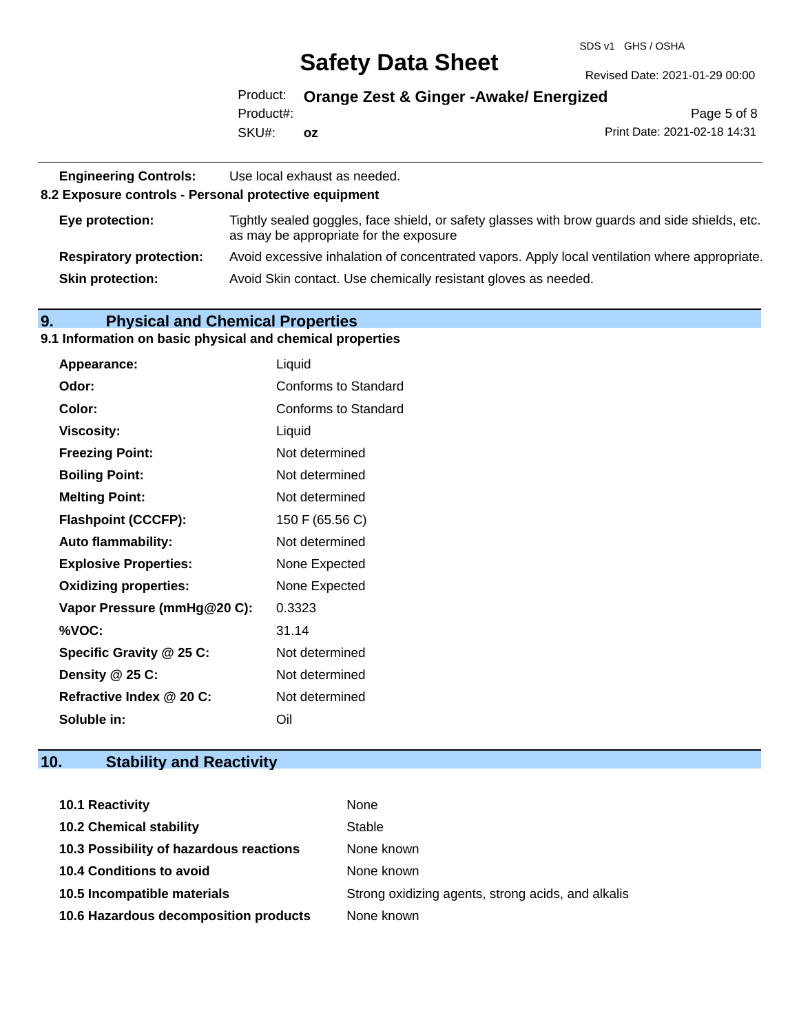#### SDS v1 GHS / OSHA

## **Safety Data Sheet**

Revised Date: 2021-01-29 00:00

Product: **Orange Zest & Ginger -Awake/ Energized** Product#:

SKU#: **oz**

Page 5 of 8 Print Date: 2021-02-18 14:31

| <b>Engineering Controls:</b><br>8.2 Exposure controls - Personal protective equipment | Use local exhaust as needed.                                                                                                             |
|---------------------------------------------------------------------------------------|------------------------------------------------------------------------------------------------------------------------------------------|
| Eye protection:                                                                       | Tightly sealed goggles, face shield, or safety glasses with brow guards and side shields, etc.<br>as may be appropriate for the exposure |
| <b>Respiratory protection:</b>                                                        | Avoid excessive inhalation of concentrated vapors. Apply local ventilation where appropriate.                                            |
| <b>Skin protection:</b>                                                               | Avoid Skin contact. Use chemically resistant gloves as needed.                                                                           |

## **9. Physical and Chemical Properties**

#### **9.1 Information on basic physical and chemical properties**

| <b>Appearance:</b>           | Liquid               |
|------------------------------|----------------------|
| Odor:                        | Conforms to Standard |
| Color:                       | Conforms to Standard |
| <b>Viscosity:</b>            | Liquid               |
| <b>Freezing Point:</b>       | Not determined       |
| <b>Boiling Point:</b>        | Not determined       |
| <b>Melting Point:</b>        | Not determined       |
| <b>Flashpoint (CCCFP):</b>   | 150 F (65.56 C)      |
| <b>Auto flammability:</b>    | Not determined       |
| <b>Explosive Properties:</b> | None Expected        |
| <b>Oxidizing properties:</b> | None Expected        |
| Vapor Pressure (mmHg@20 C):  | 0.3323               |
| %VOC:                        | 31.14                |
| Specific Gravity @ 25 C:     | Not determined       |
| Density @ 25 C:              | Not determined       |
| Refractive Index @ 20 C:     | Not determined       |
| Soluble in:                  | Oil                  |

## **10. Stability and Reactivity**

| <b>10.1 Reactivity</b>                  | None                                               |
|-----------------------------------------|----------------------------------------------------|
| <b>10.2 Chemical stability</b>          | Stable                                             |
| 10.3 Possibility of hazardous reactions | None known                                         |
| <b>10.4 Conditions to avoid</b>         | None known                                         |
| 10.5 Incompatible materials             | Strong oxidizing agents, strong acids, and alkalis |
| 10.6 Hazardous decomposition products   | None known                                         |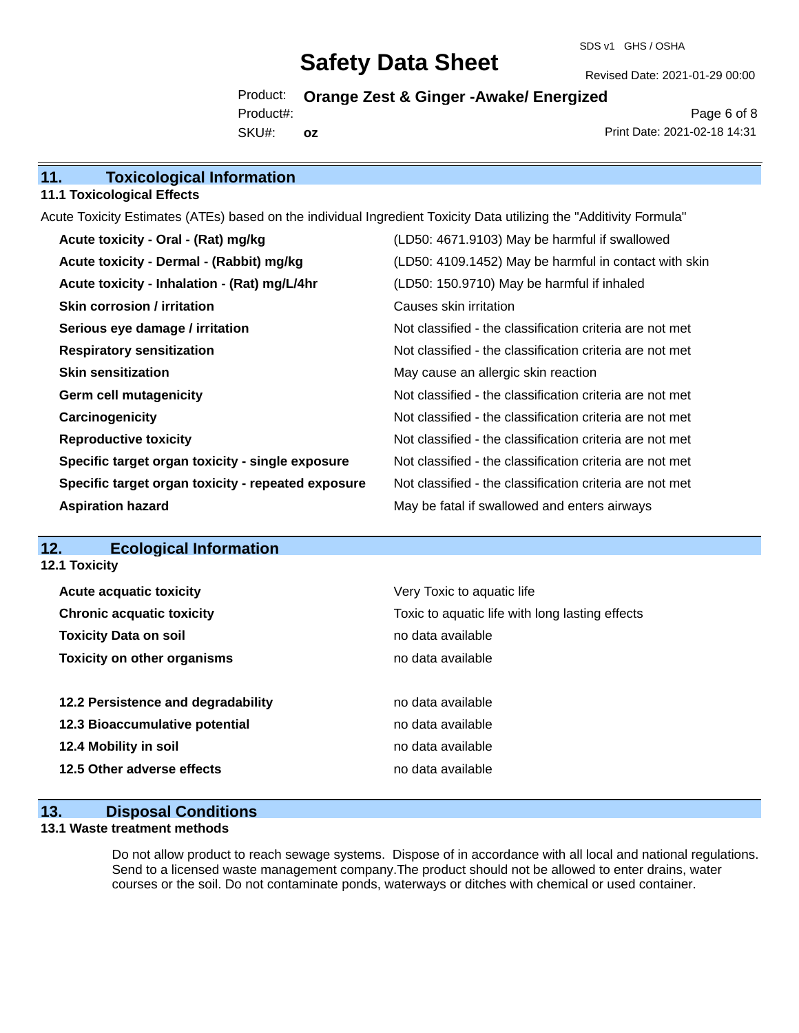Revised Date: 2021-01-29 00:00

Product: **Orange Zest & Ginger -Awake/ Energized** SKU#: Product#: **oz**

Page 6 of 8 Print Date: 2021-02-18 14:31

## **11. Toxicological Information**

### **11.1 Toxicological Effects**

Acute Toxicity Estimates (ATEs) based on the individual Ingredient Toxicity Data utilizing the "Additivity Formula"

| Acute toxicity - Oral - (Rat) mg/kg                | (LD50: 4671.9103) May be harmful if swallowed            |
|----------------------------------------------------|----------------------------------------------------------|
| Acute toxicity - Dermal - (Rabbit) mg/kg           | (LD50: 4109.1452) May be harmful in contact with skin    |
| Acute toxicity - Inhalation - (Rat) mg/L/4hr       | (LD50: 150.9710) May be harmful if inhaled               |
| <b>Skin corrosion / irritation</b>                 | Causes skin irritation                                   |
| Serious eye damage / irritation                    | Not classified - the classification criteria are not met |
| <b>Respiratory sensitization</b>                   | Not classified - the classification criteria are not met |
| <b>Skin sensitization</b>                          | May cause an allergic skin reaction                      |
| <b>Germ cell mutagenicity</b>                      | Not classified - the classification criteria are not met |
| Carcinogenicity                                    | Not classified - the classification criteria are not met |
| <b>Reproductive toxicity</b>                       | Not classified - the classification criteria are not met |
| Specific target organ toxicity - single exposure   | Not classified - the classification criteria are not met |
| Specific target organ toxicity - repeated exposure | Not classified - the classification criteria are not met |
| <b>Aspiration hazard</b>                           | May be fatal if swallowed and enters airways             |

### **12. Ecological Information**

**12.1 Toxicity**

| <b>Acute acquatic toxicity</b>     | Very Toxic to aquatic life                      |
|------------------------------------|-------------------------------------------------|
| <b>Chronic acquatic toxicity</b>   | Toxic to aquatic life with long lasting effects |
| <b>Toxicity Data on soil</b>       | no data available                               |
| <b>Toxicity on other organisms</b> | no data available                               |
|                                    |                                                 |
| 12.2 Persistence and degradability | no data available                               |
| 12.3 Bioaccumulative potential     | no data available                               |
| 12.4 Mobility in soil              |                                                 |
|                                    | no data available                               |
| 12.5 Other adverse effects         | no data available                               |

#### **13. Disposal Conditions**

#### **13.1 Waste treatment methods**

Do not allow product to reach sewage systems. Dispose of in accordance with all local and national regulations. Send to a licensed waste management company.The product should not be allowed to enter drains, water courses or the soil. Do not contaminate ponds, waterways or ditches with chemical or used container.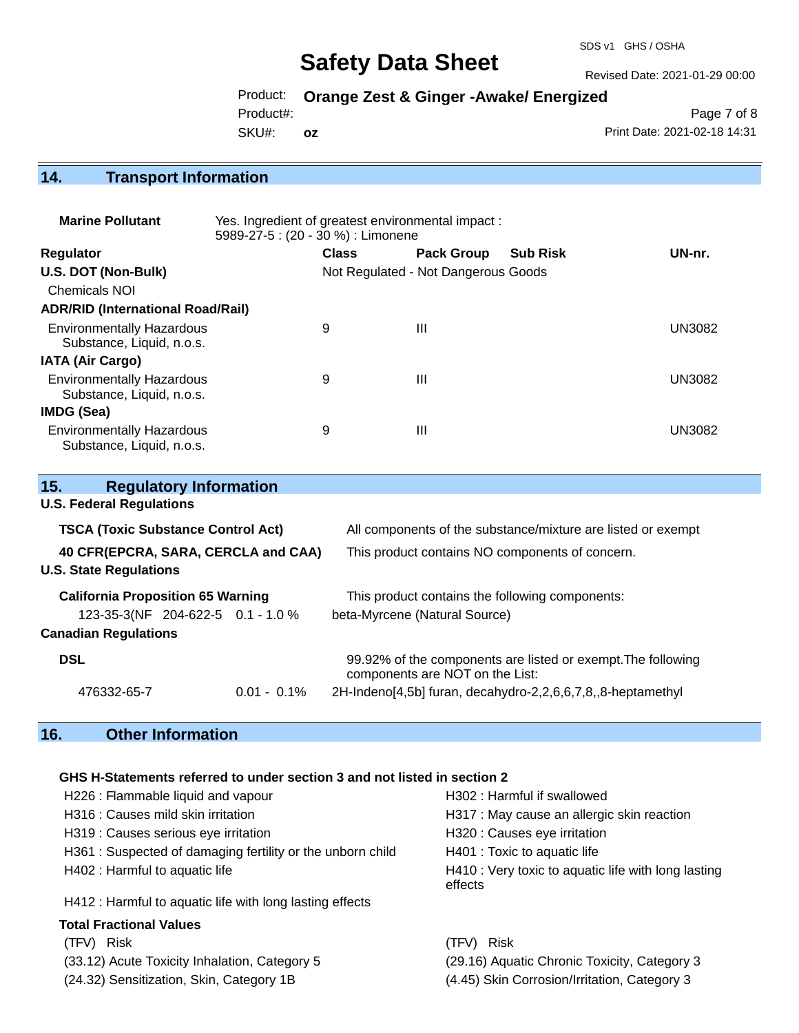Revised Date: 2021-01-29 00:00

Product: **Orange Zest & Ginger -Awake/ Energized**

Product#:

SKU#: **oz**

Page 7 of 8 Print Date: 2021-02-18 14:31

## **14. Transport Information**

| <b>Marine Pollutant</b>                                       | Yes. Ingredient of greatest environmental impact:<br>5989-27-5 : (20 - 30 %) : Limonene |              |                                     |                 |               |
|---------------------------------------------------------------|-----------------------------------------------------------------------------------------|--------------|-------------------------------------|-----------------|---------------|
| <b>Regulator</b>                                              |                                                                                         | <b>Class</b> | <b>Pack Group</b>                   | <b>Sub Risk</b> | UN-nr.        |
| U.S. DOT (Non-Bulk)                                           |                                                                                         |              | Not Regulated - Not Dangerous Goods |                 |               |
| <b>Chemicals NOI</b>                                          |                                                                                         |              |                                     |                 |               |
| <b>ADR/RID (International Road/Rail)</b>                      |                                                                                         |              |                                     |                 |               |
| <b>Environmentally Hazardous</b><br>Substance, Liquid, n.o.s. |                                                                                         | 9            | Ш                                   |                 | <b>UN3082</b> |
| <b>IATA (Air Cargo)</b>                                       |                                                                                         |              |                                     |                 |               |
| <b>Environmentally Hazardous</b><br>Substance, Liquid, n.o.s. |                                                                                         | 9            | Ш                                   |                 | <b>UN3082</b> |
| <b>IMDG (Sea)</b>                                             |                                                                                         |              |                                     |                 |               |
| <b>Environmentally Hazardous</b><br>Substance, Liquid, n.o.s. |                                                                                         | 9            | Ш                                   |                 | UN3082        |

| <b>Regulatory Information</b><br>15.      |                |                                                                                                 |  |
|-------------------------------------------|----------------|-------------------------------------------------------------------------------------------------|--|
| <b>U.S. Federal Regulations</b>           |                |                                                                                                 |  |
| <b>TSCA (Toxic Substance Control Act)</b> |                | All components of the substance/mixture are listed or exempt                                    |  |
| 40 CFR(EPCRA, SARA, CERCLA and CAA)       |                | This product contains NO components of concern.                                                 |  |
| <b>U.S. State Regulations</b>             |                |                                                                                                 |  |
| <b>California Proposition 65 Warning</b>  |                | This product contains the following components:                                                 |  |
| 123-35-3(NF 204-622-5 0.1 - 1.0 %         |                | beta-Myrcene (Natural Source)                                                                   |  |
| <b>Canadian Regulations</b>               |                |                                                                                                 |  |
| <b>DSL</b>                                |                | 99.92% of the components are listed or exempt. The following<br>components are NOT on the List: |  |
| 476332-65-7                               | $0.01 - 0.1\%$ | 2H-Indeno[4,5b] furan, decahydro-2,2,6,6,7,8,,8-heptamethyl                                     |  |

## **16. Other Information**

#### **GHS H-Statements referred to under section 3 and not listed in section 2**

| H226 : Flammable liquid and vapour                         | H302 : Harmful if swallowed                                    |
|------------------------------------------------------------|----------------------------------------------------------------|
| H316 : Causes mild skin irritation                         | H317 : May cause an allergic skin reaction                     |
| H319 : Causes serious eye irritation                       | H320 : Causes eye irritation                                   |
| H361 : Suspected of damaging fertility or the unborn child | H401 : Toxic to aquatic life                                   |
| H402 : Harmful to aquatic life                             | H410 : Very toxic to aquatic life with long lasting<br>effects |
| H412 : Harmful to aquatic life with long lasting effects   |                                                                |
| <b>Total Fractional Values</b>                             |                                                                |
| (TFV) Risk                                                 | Risk<br>(TFV)                                                  |
| (33.12) Acute Toxicity Inhalation, Category 5              | (29.16) Aquatic Chronic Toxicity, Category 3                   |
| (24.32) Sensitization, Skin, Category 1B                   | (4.45) Skin Corrosion/Irritation, Category 3                   |